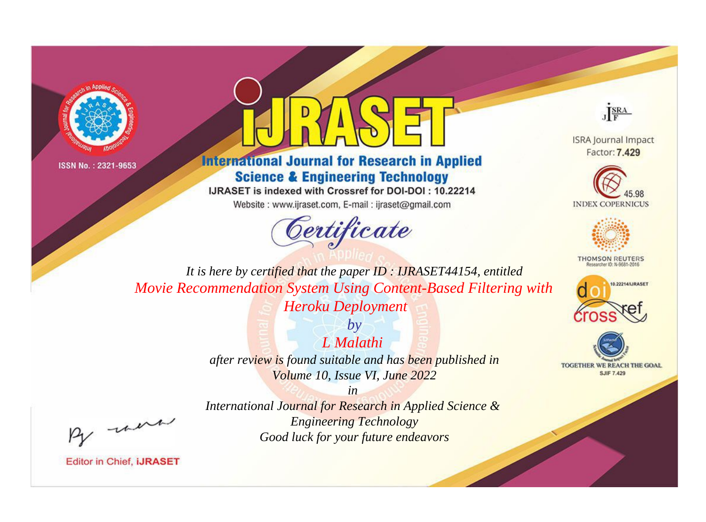



**International Journal for Research in Applied Science & Engineering Technology** 

IJRASET is indexed with Crossref for DOI-DOI: 10.22214

Website: www.ijraset.com, E-mail: ijraset@gmail.com





**ISRA Journal Impact** Factor: 7.429





**THOMSON REUTERS** 



TOGETHER WE REACH THE GOAL **SJIF 7.429** 

*It is here by certified that the paper ID : IJRASET44154, entitled Movie Recommendation System Using Content-Based Filtering with Heroku Deployment*

> *L Malathi after review is found suitable and has been published in Volume 10, Issue VI, June 2022*

*by*

, un

*International Journal for Research in Applied Science & Engineering Technology Good luck for your future endeavors*

*in*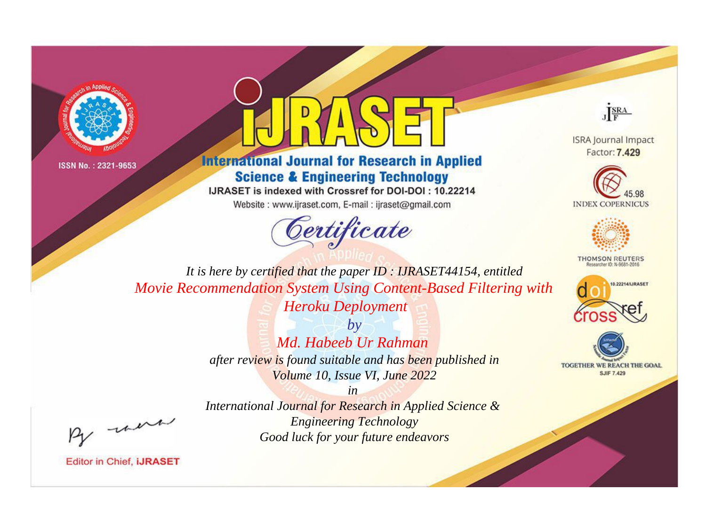



**International Journal for Research in Applied Science & Engineering Technology** 

IJRASET is indexed with Crossref for DOI-DOI: 10.22214

Website: www.ijraset.com, E-mail: ijraset@gmail.com





**ISRA Journal Impact** Factor: 7.429





**THOMSON REUTERS** 



TOGETHER WE REACH THE GOAL **SJIF 7.429** 

*It is here by certified that the paper ID : IJRASET44154, entitled Movie Recommendation System Using Content-Based Filtering with Heroku Deployment*

> *by Md. Habeeb Ur Rahman after review is found suitable and has been published in Volume 10, Issue VI, June 2022*

*in International Journal for Research in Applied Science & Engineering Technology Good luck for your future endeavors*

, un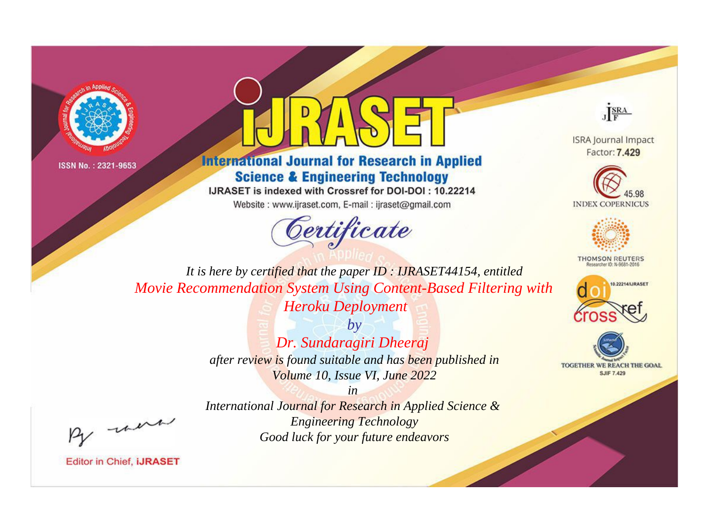



**International Journal for Research in Applied Science & Engineering Technology** 

IJRASET is indexed with Crossref for DOI-DOI: 10.22214

Website: www.ijraset.com, E-mail: ijraset@gmail.com





**ISRA Journal Impact** Factor: 7.429





**THOMSON REUTERS** 



TOGETHER WE REACH THE GOAL **SJIF 7.429** 

*It is here by certified that the paper ID : IJRASET44154, entitled Movie Recommendation System Using Content-Based Filtering with Heroku Deployment*

> *by Dr. Sundaragiri Dheeraj after review is found suitable and has been published in Volume 10, Issue VI, June 2022*

were

*International Journal for Research in Applied Science & Engineering Technology Good luck for your future endeavors*

*in*